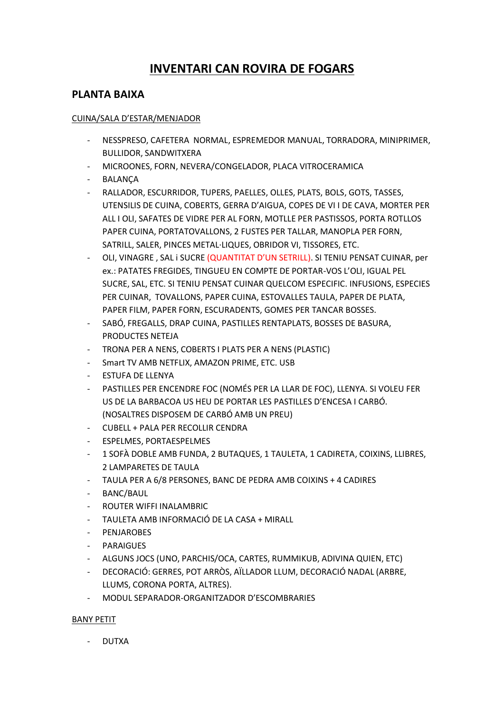# **INVENTARI CAN ROVIRA DE FOGARS**

## **PLANTA BAIXA**

#### CUINA/SALA D'ESTAR/MENJADOR

- NESSPRESO, CAFETERA NORMAL, ESPREMEDOR MANUAL, TORRADORA, MINIPRIMER, BULLIDOR, SANDWITXERA
- MICROONES, FORN, NEVERA/CONGELADOR, PLACA VITROCERAMICA
- BALANÇA
- RALLADOR, ESCURRIDOR, TUPERS, PAELLES, OLLES, PLATS, BOLS, GOTS, TASSES, UTENSILIS DE CUINA, COBERTS, GERRA D'AIGUA, COPES DE VI I DE CAVA, MORTER PER ALL I OLI, SAFATES DE VIDRE PER AL FORN, MOTLLE PER PASTISSOS, PORTA ROTLLOS PAPER CUINA, PORTATOVALLONS, 2 FUSTES PER TALLAR, MANOPLA PER FORN, SATRILL, SALER, PINCES METAL·LIQUES, OBRIDOR VI, TISSORES, ETC.
- OLI, VINAGRE , SAL i SUCRE (QUANTITAT D'UN SETRILL). SI TENIU PENSAT CUINAR, per ex.: PATATES FREGIDES, TINGUEU EN COMPTE DE PORTAR-VOS L'OLI, IGUAL PEL SUCRE, SAL, ETC. SI TENIU PENSAT CUINAR QUELCOM ESPECIFIC. INFUSIONS, ESPECIES PER CUINAR, TOVALLONS, PAPER CUINA, ESTOVALLES TAULA, PAPER DE PLATA, PAPER FILM, PAPER FORN, ESCURADENTS, GOMES PER TANCAR BOSSES.
- SABÓ, FREGALLS, DRAP CUINA, PASTILLES RENTAPLATS, BOSSES DE BASURA, PRODUCTES NETEJA
- TRONA PER A NENS, COBERTS I PLATS PER A NENS (PLASTIC)
- Smart TV AMB NETFLIX, AMAZON PRIME, ETC. USB
- ESTUFA DE LLENYA
- PASTILLES PER ENCENDRE FOC (NOMÉS PER LA LLAR DE FOC), LLENYA. SI VOLEU FER US DE LA BARBACOA US HEU DE PORTAR LES PASTILLES D'ENCESA I CARBÓ. (NOSALTRES DISPOSEM DE CARBÓ AMB UN PREU)
- CUBELL + PALA PER RECOLLIR CENDRA
- ESPELMES, PORTAESPELMES
- 1 SOFÀ DOBLE AMB FUNDA, 2 BUTAQUES, 1 TAULETA, 1 CADIRETA, COIXINS, LLIBRES, 2 LAMPARETES DE TAULA
- TAULA PER A 6/8 PERSONES, BANC DE PEDRA AMB COIXINS + 4 CADIRES
- BANC/BAUL
- ROUTER WIFFI INALAMBRIC
- TAULETA AMB INFORMACIÓ DE LA CASA + MIRALL
- **PENJAROBES**
- PARAIGUES
- ALGUNS JOCS (UNO, PARCHIS/OCA, CARTES, RUMMIKUB, ADIVINA QUIEN, ETC)
- DECORACIÓ: GERRES, POT ARRÒS, AÏLLADOR LLUM, DECORACIÓ NADAL (ARBRE, LLUMS, CORONA PORTA, ALTRES).
- MODUL SEPARADOR-ORGANITZADOR D'ESCOMBRARIES

#### BANY PETIT

- DUTXA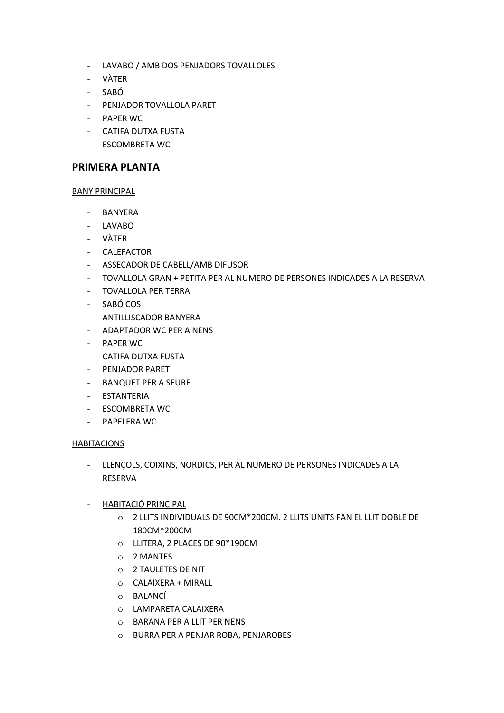- LAVABO / AMB DOS PENJADORS TOVALLOLES
- VÀTER
- SABÓ
- PENJADOR TOVALLOLA PARET
- PAPER WC
- CATIFA DUTXA FUSTA
- ESCOMBRETA WC

### **PRIMERA PLANTA**

#### BANY PRINCIPAL

- BANYERA
- LAVABO
- VÀTER
- CALEFACTOR
- ASSECADOR DE CABELL/AMB DIFUSOR
- TOVALLOLA GRAN + PETITA PER AL NUMERO DE PERSONES INDICADES A LA RESERVA
- TOVALLOLA PER TERRA
- SABÓ COS
- ANTILLISCADOR BANYERA
- ADAPTADOR WC PER A NENS
- PAPER WC
- CATIFA DUTXA FUSTA
- PENJADOR PARET
- BANQUET PER A SEURE
- ESTANTERIA
- ESCOMBRETA WC
- PAPELERA WC

#### HABITACIONS

- LLENÇOLS, COIXINS, NORDICS, PER AL NUMERO DE PERSONES INDICADES A LA RESERVA
- HABITACIÓ PRINCIPAL
	- o 2 LLITS INDIVIDUALS DE 90CM\*200CM. 2 LLITS UNITS FAN EL LLIT DOBLE DE 180CM\*200CM
	- o LLITERA, 2 PLACES DE 90\*190CM
	- o 2 MANTES
	- o 2 TAULETES DE NIT
	- o CALAIXERA + MIRALL
	- o BALANCÍ
	- o LAMPARETA CALAIXERA
	- o BARANA PER A LLIT PER NENS
	- o BURRA PER A PENJAR ROBA, PENJAROBES